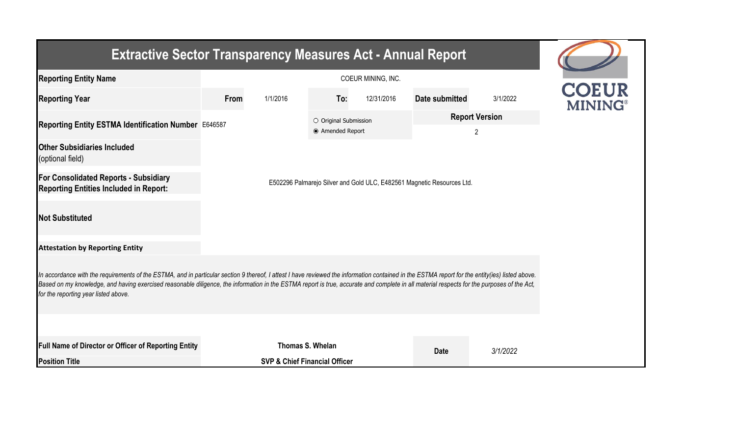| <b>Extractive Sector Transparency Measures Act - Annual Report</b>                                                                                                                                                                                                                                                                                                                                                                    |      |                                          |                                           |            |                                                                        |                            |                                |  |  |  |  |
|---------------------------------------------------------------------------------------------------------------------------------------------------------------------------------------------------------------------------------------------------------------------------------------------------------------------------------------------------------------------------------------------------------------------------------------|------|------------------------------------------|-------------------------------------------|------------|------------------------------------------------------------------------|----------------------------|--------------------------------|--|--|--|--|
| <b>Reporting Entity Name</b>                                                                                                                                                                                                                                                                                                                                                                                                          |      | COEUR MINING, INC.                       |                                           |            |                                                                        |                            |                                |  |  |  |  |
| <b>Reporting Year</b>                                                                                                                                                                                                                                                                                                                                                                                                                 | From | 1/1/2016                                 | To:                                       | 12/31/2016 | Date submitted                                                         | 3/1/2022                   | <b>COEUR</b><br><b>MINING®</b> |  |  |  |  |
| Reporting Entity ESTMA Identification Number E646587                                                                                                                                                                                                                                                                                                                                                                                  |      |                                          | O Original Submission<br>● Amended Report |            |                                                                        | <b>Report Version</b><br>2 |                                |  |  |  |  |
| <b>Other Subsidiaries Included</b><br>(optional field)                                                                                                                                                                                                                                                                                                                                                                                |      |                                          |                                           |            |                                                                        |                            |                                |  |  |  |  |
| <b>For Consolidated Reports - Subsidiary</b><br><b>Reporting Entities Included in Report:</b>                                                                                                                                                                                                                                                                                                                                         |      |                                          |                                           |            | E502296 Palmarejo Silver and Gold ULC, E482561 Magnetic Resources Ltd. |                            |                                |  |  |  |  |
| <b>Not Substituted</b>                                                                                                                                                                                                                                                                                                                                                                                                                |      |                                          |                                           |            |                                                                        |                            |                                |  |  |  |  |
| <b>Attestation by Reporting Entity</b>                                                                                                                                                                                                                                                                                                                                                                                                |      |                                          |                                           |            |                                                                        |                            |                                |  |  |  |  |
| In accordance with the requirements of the ESTMA, and in particular section 9 thereof, I attest I have reviewed the information contained in the ESTMA report for the entity(ies) listed above.<br>Based on my knowledge, and having exercised reasonable diligence, the information in the ESTMA report is true, accurate and complete in all material respects for the purposes of the Act,<br>for the reporting year listed above. |      |                                          |                                           |            |                                                                        |                            |                                |  |  |  |  |
|                                                                                                                                                                                                                                                                                                                                                                                                                                       |      |                                          |                                           |            |                                                                        |                            |                                |  |  |  |  |
| <b>Full Name of Director or Officer of Reporting Entity</b>                                                                                                                                                                                                                                                                                                                                                                           |      | Thomas S. Whelan                         |                                           |            | <b>Date</b>                                                            | 3/1/2022                   |                                |  |  |  |  |
| <b>Position Title</b>                                                                                                                                                                                                                                                                                                                                                                                                                 |      | <b>SVP &amp; Chief Financial Officer</b> |                                           |            |                                                                        |                            |                                |  |  |  |  |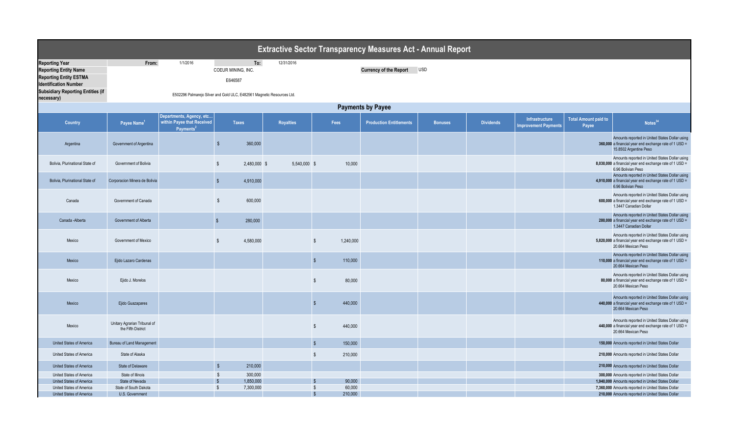| <b>Extractive Sector Transparency Measures Act - Annual Report</b>                     |                                                    |                                                                                 |                         |                                      |                  |                         |           |                                |                |                  |                                               |                                      |                                                                                                                                   |
|----------------------------------------------------------------------------------------|----------------------------------------------------|---------------------------------------------------------------------------------|-------------------------|--------------------------------------|------------------|-------------------------|-----------|--------------------------------|----------------|------------------|-----------------------------------------------|--------------------------------------|-----------------------------------------------------------------------------------------------------------------------------------|
| <b>Reporting Year</b><br><b>Reporting Entity Name</b><br><b>Reporting Entity ESTMA</b> | From:                                              | 1/1/2016                                                                        |                         | To:<br>COEUR MINING, INC.<br>E646587 | 12/31/2016       |                         |           | <b>Currency of the Report</b>  | <b>USD</b>     |                  |                                               |                                      |                                                                                                                                   |
| <b>Identification Number</b><br><b>Subsidiary Reporting Entities (if</b><br>necessary) |                                                    | E502296 Palmarejo Silver and Gold ULC, E482561 Magnetic Resources Ltd.          |                         |                                      |                  |                         |           |                                |                |                  |                                               |                                      |                                                                                                                                   |
|                                                                                        |                                                    |                                                                                 |                         |                                      |                  |                         |           | <b>Payments by Payee</b>       |                |                  |                                               |                                      |                                                                                                                                   |
| <b>Country</b>                                                                         | Payee Name <sup>1</sup>                            | Departments, Agency, etc<br>within Payee that Received<br>Payments <sup>2</sup> |                         | <b>Taxes</b>                         | <b>Royalties</b> |                         | Fees      | <b>Production Entitlements</b> | <b>Bonuses</b> | <b>Dividends</b> | Infrastructure<br><b>Improvement Payments</b> | <b>Total Amount paid to</b><br>Payee | Notes <sup>34</sup>                                                                                                               |
| Argentina                                                                              | Government of Argentina                            |                                                                                 | $\sqrt{3}$              | 360,000                              |                  |                         |           |                                |                |                  |                                               |                                      | Amounts reported in United States Dollar using<br>360,000 a financial year end exchange rate of 1 USD =<br>15.8502 Argentine Peso |
| Bolivia, Plurinational State of                                                        | Government of Bolivia                              |                                                                                 | \$                      | 2.480.000 \$                         | 5.540.000 \$     |                         | 10,000    |                                |                |                  |                                               |                                      | Amounts reported in United States Dollar using<br>8,030,000 a financial year end exchange rate of 1 USD =<br>6.96 Bolivian Peso   |
| Bolivia, Plurinational State of                                                        | Corporacion Minera de Bolivia                      |                                                                                 | \$                      | 4,910,000                            |                  |                         |           |                                |                |                  |                                               |                                      | Amounts reported in United States Dollar using<br>4,910,000 a financial year end exchange rate of 1 USD =<br>6.96 Bolivian Peso   |
| Canada                                                                                 | Government of Canada                               |                                                                                 | $\sqrt[6]{\frac{1}{2}}$ | 600,000                              |                  |                         |           |                                |                |                  |                                               |                                      | Amounts reported in United States Dollar using<br>600,000 a financial year end exchange rate of 1 USD =<br>1.3447 Canadian Dollar |
| Canada - Alberta                                                                       | Government of Alberta                              |                                                                                 | $\sqrt[6]{\frac{1}{2}}$ | 280,000                              |                  |                         |           |                                |                |                  |                                               |                                      | Amounts reported in United States Dollar using<br>280,000 a financial year end exchange rate of 1 USD =<br>1.3447 Canadian Dollar |
| Mexico                                                                                 | Government of Mexico                               |                                                                                 | \$                      | 4,580,000                            |                  | $\mathbb{S}$            | 1,240,000 |                                |                |                  |                                               |                                      | Amounts reported in United States Dollar using<br>5,820,000 a financial year end exchange rate of 1 USD =<br>20.664 Mexican Peso  |
| Mexico                                                                                 | Ejido Lazaro Cardenas                              |                                                                                 |                         |                                      |                  | $\sqrt[6]{\frac{1}{2}}$ | 110,000   |                                |                |                  |                                               |                                      | Amounts reported in United States Dollar using<br>110,000 a financial year end exchange rate of 1 USD =<br>20.664 Mexican Peso    |
| Mexico                                                                                 | Ejido J. Morelos                                   |                                                                                 |                         |                                      |                  | $\mathbb{S}$            | 80,000    |                                |                |                  |                                               |                                      | Amounts reported in United States Dollar using<br>80,000 a financial year end exchange rate of 1 USD =<br>20.664 Mexican Peso     |
| Mexico                                                                                 | Ejido Guazapares                                   |                                                                                 |                         |                                      |                  | $\mathbb{S}$            | 440,000   |                                |                |                  |                                               |                                      | Amounts reported in United States Dollar using<br>440,000 a financial year end exchange rate of 1 USD =<br>20.664 Mexican Peso    |
| Mexico                                                                                 | Unitary Agrarian Tribunal of<br>the Fifth District |                                                                                 |                         |                                      |                  | $\mathbb{S}$            | 440,000   |                                |                |                  |                                               |                                      | Amounts reported in United States Dollar using<br>440,000 a financial year end exchange rate of 1 USD =<br>20.664 Mexican Peso    |
| United States of America                                                               | <b>Bureau of Land Management</b>                   |                                                                                 |                         |                                      |                  | $\sqrt[6]{3}$           | 150,000   |                                |                |                  |                                               |                                      | 150,000 Amounts reported in United States Dollar                                                                                  |
| United States of America                                                               | State of Alaska                                    |                                                                                 |                         |                                      |                  | $\sqrt[6]{\frac{1}{2}}$ | 210,000   |                                |                |                  |                                               |                                      | 210,000 Amounts reported in United States Dollar                                                                                  |
| United States of America                                                               | State of Delaware                                  |                                                                                 | $\sqrt[6]{\frac{1}{2}}$ | 210,000                              |                  |                         |           |                                |                |                  |                                               |                                      | 210,000 Amounts reported in United States Dollar                                                                                  |
| United States of America                                                               | State of Illinois                                  |                                                                                 | $\mathbb{S}$            | 300,000                              |                  |                         |           |                                |                |                  |                                               |                                      | 300,000 Amounts reported in United States Dollar                                                                                  |
| United States of America                                                               | State of Nevada                                    |                                                                                 |                         | 1,850,000                            |                  |                         | 90,000    |                                |                |                  |                                               |                                      | 1,940,000 Amounts reported in United States Dollar                                                                                |
| United States of America                                                               | State of South Dakota                              |                                                                                 | $\sqrt[6]{\frac{1}{2}}$ | 7,300,000                            |                  | \$                      | 60,000    |                                |                |                  |                                               |                                      | 7,360,000 Amounts reported in United States Dollar                                                                                |
| United States of America                                                               | U.S. Government                                    |                                                                                 |                         |                                      |                  | $\mathbf{s}$            | 210,000   |                                |                |                  |                                               |                                      | 210,000 Amounts reported in United States Dollar                                                                                  |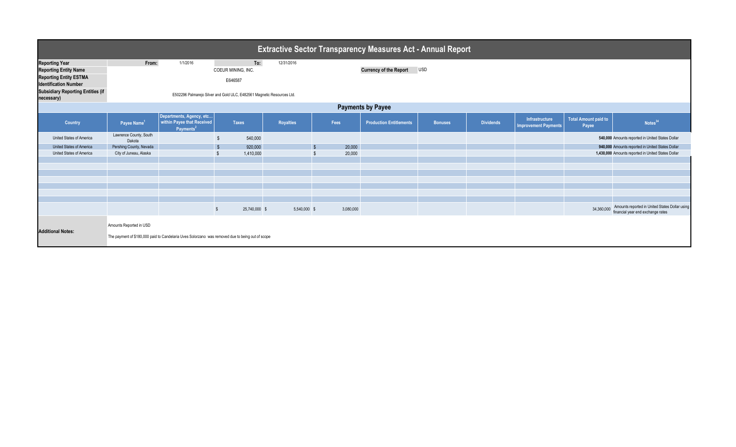| <b>Extractive Sector Transparency Measures Act - Annual Report</b> |                                  |                                                                                                  |                                                                        |                  |           |                                |                |                  |                                               |                                      |                                                                                     |  |
|--------------------------------------------------------------------|----------------------------------|--------------------------------------------------------------------------------------------------|------------------------------------------------------------------------|------------------|-----------|--------------------------------|----------------|------------------|-----------------------------------------------|--------------------------------------|-------------------------------------------------------------------------------------|--|
| <b>Reporting Year</b>                                              | From:                            | 1/1/2016                                                                                         | To:                                                                    | 12/31/2016       |           |                                |                |                  |                                               |                                      |                                                                                     |  |
| <b>Reporting Entity Name</b>                                       |                                  |                                                                                                  | COEUR MINING, INC.                                                     |                  |           | <b>Currency of the Report</b>  | <b>USD</b>     |                  |                                               |                                      |                                                                                     |  |
| <b>Reporting Entity ESTMA</b><br><b>Identification Number</b>      |                                  |                                                                                                  | E646587                                                                |                  |           |                                |                |                  |                                               |                                      |                                                                                     |  |
| <b>Subsidiary Reporting Entities (if</b><br>necessary)             |                                  |                                                                                                  | E502296 Palmarejo Silver and Gold ULC, E482561 Magnetic Resources Ltd. |                  |           |                                |                |                  |                                               |                                      |                                                                                     |  |
| <b>Payments by Payee</b>                                           |                                  |                                                                                                  |                                                                        |                  |           |                                |                |                  |                                               |                                      |                                                                                     |  |
| <b>Country</b>                                                     | Payee Name <sup>1</sup>          | Departments, Agency, etc<br>within Payee that Received<br>Payments <sup>2</sup>                  | <b>Taxes</b>                                                           | <b>Royalties</b> | Fees      | <b>Production Entitlements</b> | <b>Bonuses</b> | <b>Dividends</b> | Infrastructure<br><b>Improvement Payments</b> | <b>Total Amount paid to</b><br>Payee | Notes <sup>34</sup>                                                                 |  |
| United States of America                                           | Lawrence County, South<br>Dakota |                                                                                                  | 540,000                                                                |                  |           |                                |                |                  |                                               |                                      | 540,000 Amounts reported in United States Dollar                                    |  |
| United States of America                                           | Pershing County, Nevada          |                                                                                                  | 920,000                                                                |                  | 20,000    |                                |                |                  |                                               |                                      | 940,000 Amounts reported in United States Dollar                                    |  |
| United States of America                                           | City of Juneau, Alaska           |                                                                                                  | 1,410,000                                                              |                  | 20,000    |                                |                |                  |                                               |                                      | 1,430,000 Amounts reported in United States Dollar                                  |  |
|                                                                    |                                  |                                                                                                  |                                                                        |                  |           |                                |                |                  |                                               |                                      |                                                                                     |  |
|                                                                    |                                  |                                                                                                  |                                                                        |                  |           |                                |                |                  |                                               |                                      |                                                                                     |  |
|                                                                    |                                  |                                                                                                  |                                                                        |                  |           |                                |                |                  |                                               |                                      |                                                                                     |  |
|                                                                    |                                  |                                                                                                  |                                                                        |                  |           |                                |                |                  |                                               |                                      |                                                                                     |  |
|                                                                    |                                  |                                                                                                  |                                                                        |                  |           |                                |                |                  |                                               |                                      |                                                                                     |  |
|                                                                    |                                  |                                                                                                  |                                                                        |                  |           |                                |                |                  |                                               |                                      |                                                                                     |  |
|                                                                    |                                  |                                                                                                  | 25,740,000 \$<br>$\sqrt[6]{3}$                                         | 5,540,000 \$     | 3,080,000 |                                |                |                  |                                               | 34,360,000                           | Amounts reported in United States Dollar using<br>financial year end exchange rates |  |
| <b>Additional Notes:</b>                                           | Amounts Reported in USD          | The payment of \$180,000 paid to Candelaria Uves Solorzano was removed due to being out of scope |                                                                        |                  |           |                                |                |                  |                                               |                                      |                                                                                     |  |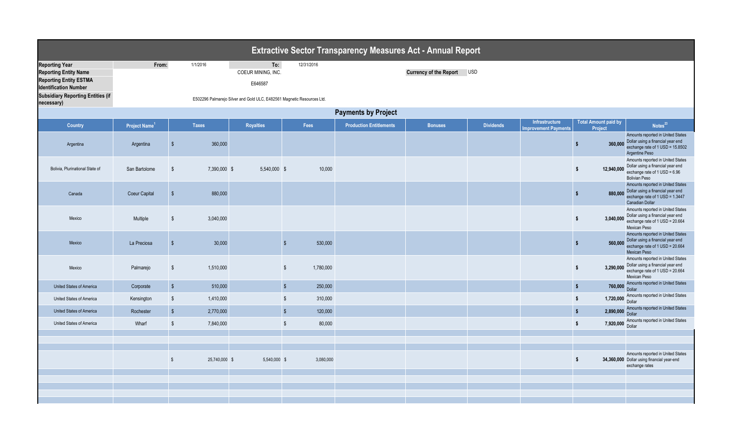|                                                                                                                        |                            |                         |               |                                                                        |                                    | <b>Extractive Sector Transparency Measures Act - Annual Report</b> |                            |                  |                                       |                                        |                                                                                                                                     |
|------------------------------------------------------------------------------------------------------------------------|----------------------------|-------------------------|---------------|------------------------------------------------------------------------|------------------------------------|--------------------------------------------------------------------|----------------------------|------------------|---------------------------------------|----------------------------------------|-------------------------------------------------------------------------------------------------------------------------------------|
| <b>Reporting Year</b><br><b>Reporting Entity Name</b><br><b>Reporting Entity ESTMA</b><br><b>Identification Number</b> | From:                      |                         | 1/1/2016      | To:<br>COEUR MINING, INC.<br>E646587                                   | 12/31/2016                         |                                                                    | Currency of the Report USD |                  |                                       |                                        |                                                                                                                                     |
| <b>Subsidiary Reporting Entities (if</b><br>necessary)                                                                 |                            |                         |               | E502296 Palmarejo Silver and Gold ULC, E482561 Magnetic Resources Ltd. |                                    |                                                                    |                            |                  |                                       |                                        |                                                                                                                                     |
|                                                                                                                        | <b>Payments by Project</b> |                         |               |                                                                        |                                    |                                                                    |                            |                  |                                       |                                        |                                                                                                                                     |
| <b>Country</b>                                                                                                         | Project Name <sup>1</sup>  |                         | <b>Taxes</b>  | <b>Royalties</b>                                                       | Fees                               | <b>Production Entitlements</b>                                     | <b>Bonuses</b>             | <b>Dividends</b> | Infrastructure<br>mprovement Payments | <b>Total Amount paid by</b><br>Project | Notes <sup>23</sup>                                                                                                                 |
| Argentina                                                                                                              | Argentina                  | - \$                    | 360,000       |                                                                        |                                    |                                                                    |                            |                  |                                       | 360,000<br>$\mathbf{s}$                | Amounts reported in United States<br>Dollar using a financial year end<br>exchange rate of 1 USD = 15.8502<br>Argentine Peso        |
| Bolivia, Plurinational State of                                                                                        | San Bartolome              | $\sqrt[6]{3}$           | 7,390,000 \$  | 5,540,000 \$                                                           | 10,000                             |                                                                    |                            |                  |                                       | \$<br>12,940,000                       | Amounts reported in United States<br>Dollar using a financial year end<br>exchange rate of $1$ USD = $6.96$<br><b>Bolivian Peso</b> |
| Canada                                                                                                                 | <b>Coeur Capital</b>       | $\sqrt{3}$              | 880,000       |                                                                        |                                    |                                                                    |                            |                  |                                       | $\sqrt[6]{\frac{1}{2}}$<br>880,000     | Amounts reported in United States<br>Dollar using a financial year end<br>exchange rate of 1 USD = 1.3447<br><b>Canadian Dollar</b> |
| Mexico                                                                                                                 | Multiple                   | $\sqrt[6]{2}$           | 3,040,000     |                                                                        |                                    |                                                                    |                            |                  |                                       | \$<br>3,040,000                        | Amounts reported in United States<br>Dollar using a financial year end<br>exchange rate of 1 USD = 20.664<br>Mexican Peso           |
| Mexico                                                                                                                 | La Preciosa                | $\sqrt{3}$              | 30,000        |                                                                        | 530,000<br>$\mathcal{S}$           |                                                                    |                            |                  |                                       | $\sqrt{2}$<br>560,000                  | Amounts reported in United States<br>Dollar using a financial year end<br>exchange rate of 1 USD = 20.664<br>Mexican Peso           |
| Mexico                                                                                                                 | Palmarejo                  | $\sqrt[6]{3}$           | 1.510.000     |                                                                        | $\mathsf{\$}$<br>1,780,000         |                                                                    |                            |                  |                                       | \$<br>3,290,000                        | Amounts reported in United States<br>Dollar using a financial year end<br>exchange rate of 1 USD = 20.664<br>Mexican Peso           |
| United States of America                                                                                               | Corporate                  | $\sqrt{2}$              | 510,000       |                                                                        | $\sqrt{2}$<br>250,000              |                                                                    |                            |                  |                                       | $\sqrt[6]{\frac{1}{2}}$<br>760,000     | Amounts reported in United States<br><b>Dollar</b>                                                                                  |
| United States of America                                                                                               | Kensington                 | $\sqrt[6]{\frac{1}{2}}$ | 1,410,000     |                                                                        | $\sqrt[6]{\frac{1}{2}}$<br>310,000 |                                                                    |                            |                  |                                       | 1,720,000<br>\$                        | Amounts reported in United States<br>Dollar                                                                                         |
| United States of America                                                                                               | Rochester                  | $\sqrt{2}$              | 2,770,000     |                                                                        | $\sqrt{2}$<br>120,000              |                                                                    |                            |                  |                                       | $\sqrt[6]{\frac{1}{2}}$<br>2,890,000   | Amounts reported in United States<br>Dollar                                                                                         |
| United States of America                                                                                               | Wharf                      | $\sqrt[6]{3}$           | 7,840,000     |                                                                        | $\sqrt{2}$<br>80,000               |                                                                    |                            |                  |                                       | \$<br>7,920,000                        | Amounts reported in United States<br>Dollar                                                                                         |
|                                                                                                                        |                            |                         |               |                                                                        |                                    |                                                                    |                            |                  |                                       |                                        |                                                                                                                                     |
|                                                                                                                        |                            | $\sqrt{2}$              | 25,740,000 \$ | 5,540,000 \$                                                           | 3,080,000                          |                                                                    |                            |                  |                                       | \$                                     | Amounts reported in United States<br>34,360,000 Dollar using financial year-end<br>exchange rates                                   |
|                                                                                                                        |                            |                         |               |                                                                        |                                    |                                                                    |                            |                  |                                       |                                        |                                                                                                                                     |
|                                                                                                                        |                            |                         |               |                                                                        |                                    |                                                                    |                            |                  |                                       |                                        |                                                                                                                                     |
|                                                                                                                        |                            |                         |               |                                                                        |                                    |                                                                    |                            |                  |                                       |                                        |                                                                                                                                     |